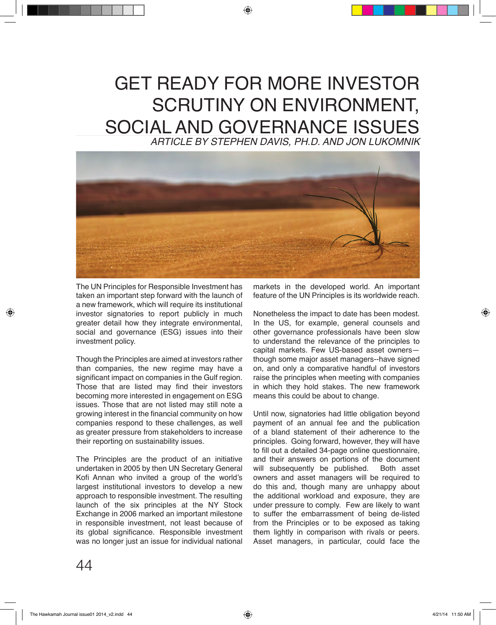## GET READY FOR MORE INVESTOR SCRUTINY ON ENVIRONMENT, SOCIAL AND GOVERNANCE ISSUES *ARTICLE BY STEPHEN DAVIS, PH.D. AND JON LUKOMNIK*



The UN Principles for Responsible Investment has taken an important step forward with the launch of a new framework, which will require its institutional investor signatories to report publicly in much greater detail how they integrate environmental, social and governance (ESG) issues into their investment policy.

Though the Principles are aimed at investors rather than companies, the new regime may have a significant impact on companies in the Gulf region. Those that are listed may find their investors becoming more interested in engagement on ESG issues. Those that are not listed may still note a growing interest in the financial community on how companies respond to these challenges, as well as greater pressure from stakeholders to increase their reporting on sustainability issues.

The Principles are the product of an initiative undertaken in 2005 by then UN Secretary General Kofi Annan who invited a group of the world's largest institutional investors to develop a new approach to responsible investment. The resulting launch of the six principles at the NY Stock Exchange in 2006 marked an important milestone in responsible investment, not least because of its global significance. Responsible investment was no longer just an issue for individual national

markets in the developed world. An important feature of the UN Principles is its worldwide reach.

Nonetheless the impact to date has been modest. In the US, for example, general counsels and other governance professionals have been slow to understand the relevance of the principles to capital markets. Few US-based asset owners though some major asset managers--have signed on, and only a comparative handful of investors raise the principles when meeting with companies in which they hold stakes. The new framework means this could be about to change.

Until now, signatories had little obligation beyond payment of an annual fee and the publication of a bland statement of their adherence to the principles. Going forward, however, they will have to fill out a detailed 34-page online questionnaire, and their answers on portions of the document<br>will subsequently be published. Both asset will subsequently be published. owners and asset managers will be required to do this and, though many are unhappy about the additional workload and exposure, they are under pressure to comply. Few are likely to want to suffer the embarrassment of being de-listed from the Principles or to be exposed as taking them lightly in comparison with rivals or peers. Asset managers, in particular, could face the